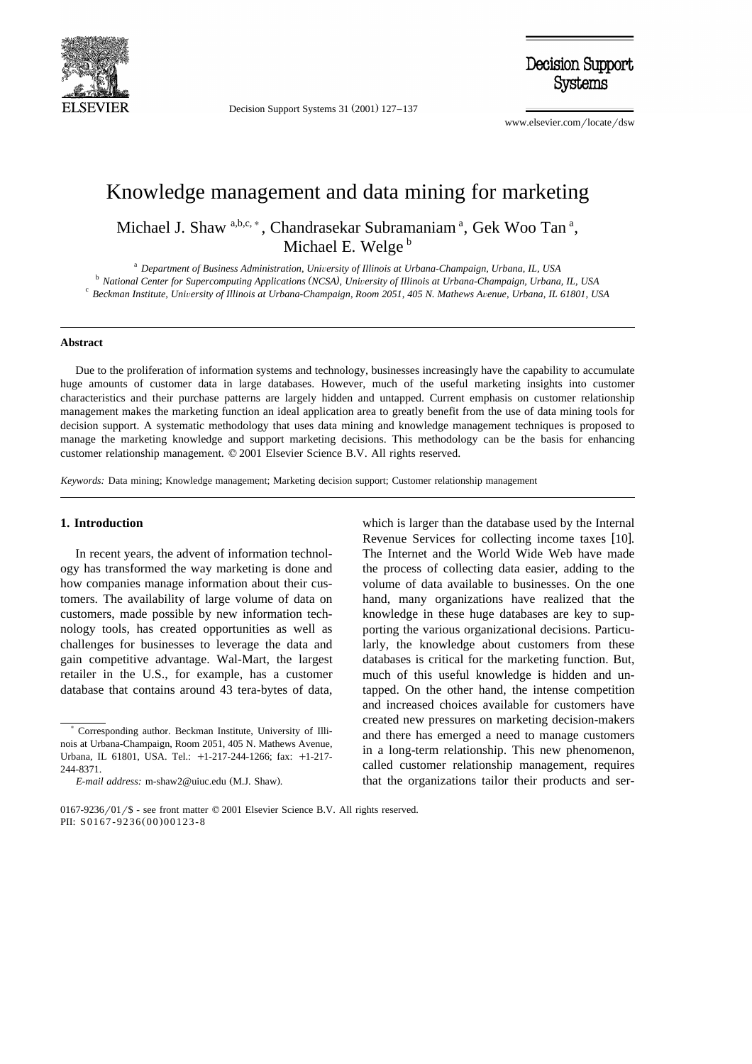

Decision Support Systems  $31$   $(2001)$   $127-137$ 

**Decision Support Systems** 

www.elsevier.com/locate/dsw

# Knowledge management and data mining for marketing

Michael J. Shaw a,b,c, \*, Chandrasekar Subramaniam<sup>a</sup>, Gek Woo Tan<sup>a</sup>, Michael E. Welge<sup>b</sup>

<sup>a</sup> Department of Business Administration, University of Illinois at Urbana-Champaign, Urbana, IL, USA<br><sup>b</sup> National Center for Supercomputing Applications (NCSA), University of Illinois at Urbana-Champaign, Urbana, IL, USA

### **Abstract**

Due to the proliferation of information systems and technology, businesses increasingly have the capability to accumulate huge amounts of customer data in large databases. However, much of the useful marketing insights into customer characteristics and their purchase patterns are largely hidden and untapped. Current emphasis on customer relationship management makes the marketing function an ideal application area to greatly benefit from the use of data mining tools for decision support. A systematic methodology that uses data mining and knowledge management techniques is proposed to manage the marketing knowledge and support marketing decisions. This methodology can be the basis for enhancing customer relationship management.  $© 2001$  Elsevier Science B.V. All rights reserved.

*Keywords:* Data mining; Knowledge management; Marketing decision support; Customer relationship management

## **1. Introduction**

In recent years, the advent of information technology has transformed the way marketing is done and how companies manage information about their customers. The availability of large volume of data on customers, made possible by new information technology tools, has created opportunities as well as challenges for businesses to leverage the data and gain competitive advantage. Wal-Mart, the largest retailer in the U.S., for example, has a customer database that contains around 43 tera-bytes of data,

which is larger than the database used by the Internal Revenue Services for collecting income taxes [10]. The Internet and the World Wide Web have made the process of collecting data easier, adding to the volume of data available to businesses. On the one hand, many organizations have realized that the knowledge in these huge databases are key to supporting the various organizational decisions. Particularly, the knowledge about customers from these databases is critical for the marketing function. But, much of this useful knowledge is hidden and untapped. On the other hand, the intense competition and increased choices available for customers have created new pressures on marketing decision-makers and there has emerged a need to manage customers in a long-term relationship. This new phenomenon, called customer relationship management, requires that the organizations tailor their products and ser-

<sup>)</sup> Corresponding author. Beckman Institute, University of Illinois at Urbana-Champaign, Room 2051, 405 N. Mathews Avenue, Urbana, IL 61801, USA. Tel.: +1-217-244-1266; fax: +1-217-244-8371.

*E-mail address:* m-shaw2@uiuc.edu (M.J. Shaw).

<sup>0167-9236/01/\$ -</sup> see front matter  $© 2001$  Elsevier Science B.V. All rights reserved. PII: S0167-9236(00)00123-8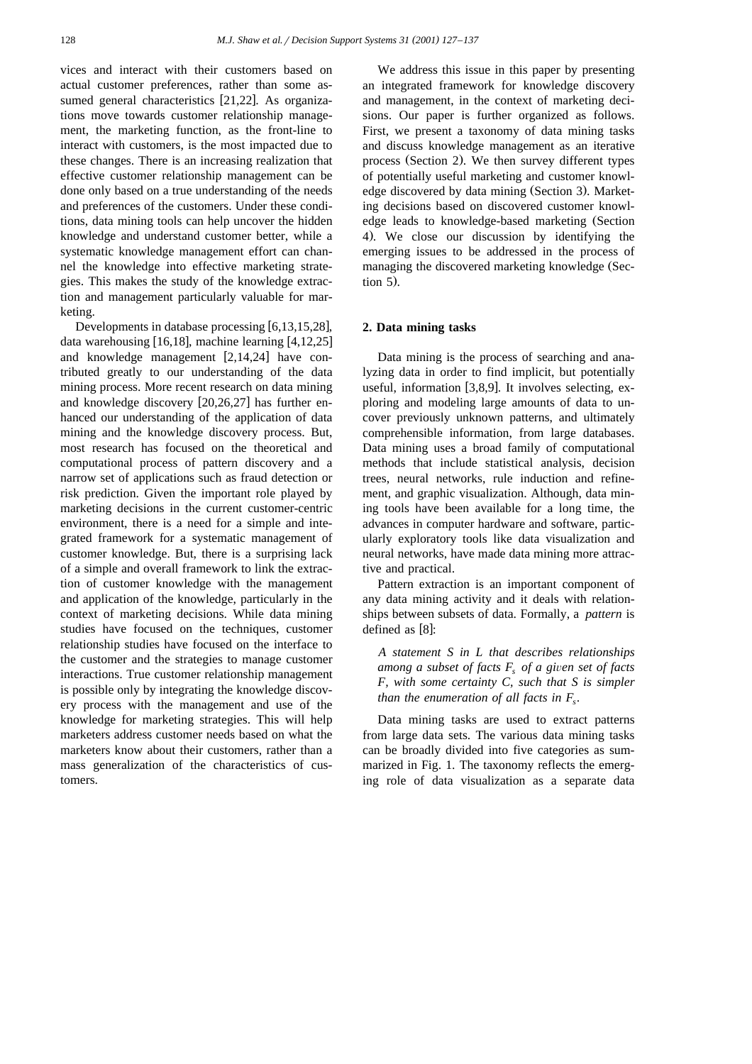vices and interact with their customers based on actual customer preferences, rather than some assumed general characteristics [21,22]. As organizations move towards customer relationship management, the marketing function, as the front-line to interact with customers, is the most impacted due to these changes. There is an increasing realization that effective customer relationship management can be done only based on a true understanding of the needs and preferences of the customers. Under these conditions, data mining tools can help uncover the hidden knowledge and understand customer better, while a systematic knowledge management effort can channel the knowledge into effective marketing strategies. This makes the study of the knowledge extraction and management particularly valuable for marketing.

Developments in database processing  $[6,13,15,28]$ , data warehousing  $[16,18]$ , machine learning  $[4,12,25]$ and knowledge management  $[2,14,24]$  have contributed greatly to our understanding of the data mining process. More recent research on data mining and knowledge discovery  $[20,26,27]$  has further enhanced our understanding of the application of data mining and the knowledge discovery process. But, most research has focused on the theoretical and computational process of pattern discovery and a narrow set of applications such as fraud detection or risk prediction. Given the important role played by marketing decisions in the current customer-centric environment, there is a need for a simple and integrated framework for a systematic management of customer knowledge. But, there is a surprising lack of a simple and overall framework to link the extraction of customer knowledge with the management and application of the knowledge, particularly in the context of marketing decisions. While data mining studies have focused on the techniques, customer relationship studies have focused on the interface to the customer and the strategies to manage customer interactions. True customer relationship management is possible only by integrating the knowledge discovery process with the management and use of the knowledge for marketing strategies. This will help marketers address customer needs based on what the marketers know about their customers, rather than a mass generalization of the characteristics of customers.

We address this issue in this paper by presenting an integrated framework for knowledge discovery and management, in the context of marketing decisions. Our paper is further organized as follows. First, we present a taxonomy of data mining tasks and discuss knowledge management as an iterative process (Section 2). We then survey different types of potentially useful marketing and customer knowledge discovered by data mining (Section 3). Marketing decisions based on discovered customer knowledge leads to knowledge-based marketing (Section 4). We close our discussion by identifying the emerging issues to be addressed in the process of managing the discovered marketing knowledge (Sec $tion$  5).

## **2. Data mining tasks**

Data mining is the process of searching and analyzing data in order to find implicit, but potentially useful, information  $[3,8,9]$ . It involves selecting, exploring and modeling large amounts of data to uncover previously unknown patterns, and ultimately comprehensible information, from large databases. Data mining uses a broad family of computational methods that include statistical analysis, decision trees, neural networks, rule induction and refinement, and graphic visualization. Although, data mining tools have been available for a long time, the advances in computer hardware and software, particularly exploratory tools like data visualization and neural networks, have made data mining more attractive and practical.

Pattern extraction is an important component of any data mining activity and it deals with relationships between subsets of data. Formally, a *pattern* is defined as [8]:

*A statement S in L that describes relationships among a subset of facts*  $F<sub>s</sub>$  *of a given set of facts F, with some certainty C, such that S is simpler than the enumeration of all facts in*  $F_s$ .

Data mining tasks are used to extract patterns from large data sets. The various data mining tasks can be broadly divided into five categories as summarized in Fig. 1. The taxonomy reflects the emerging role of data visualization as a separate data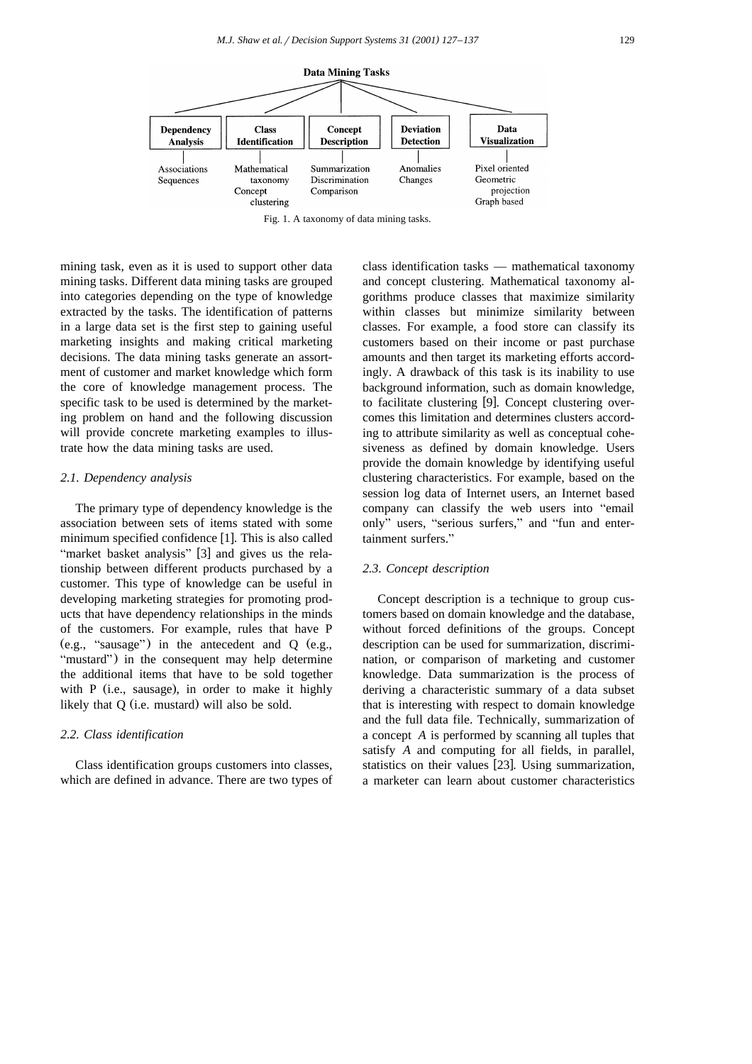

Fig. 1. A taxonomy of data mining tasks.

mining task, even as it is used to support other data mining tasks. Different data mining tasks are grouped into categories depending on the type of knowledge extracted by the tasks. The identification of patterns in a large data set is the first step to gaining useful marketing insights and making critical marketing decisions. The data mining tasks generate an assortment of customer and market knowledge which form the core of knowledge management process. The specific task to be used is determined by the marketing problem on hand and the following discussion will provide concrete marketing examples to illustrate how the data mining tasks are used.

#### *2.1. Dependency analysis*

The primary type of dependency knowledge is the association between sets of items stated with some minimum specified confidence  $[1]$ . This is also called "market basket analysis" [3] and gives us the relationship between different products purchased by a customer. This type of knowledge can be useful in developing marketing strategies for promoting products that have dependency relationships in the minds of the customers. For example, rules that have P (e.g., "sausage") in the antecedent and  $Q$  (e.g., "mustard") in the consequent may help determine the additional items that have to be sold together with  $P$  (i.e., sausage), in order to make it highly likely that  $Q$  (i.e. mustard) will also be sold.

## *2.2. Class identification*

Class identification groups customers into classes, which are defined in advance. There are two types of class identification tasks — mathematical taxonomy and concept clustering. Mathematical taxonomy algorithms produce classes that maximize similarity within classes but minimize similarity between classes. For example, a food store can classify its customers based on their income or past purchase amounts and then target its marketing efforts accordingly. A drawback of this task is its inability to use background information, such as domain knowledge, to facilitate clustering [9]. Concept clustering overcomes this limitation and determines clusters according to attribute similarity as well as conceptual cohesiveness as defined by domain knowledge. Users provide the domain knowledge by identifying useful clustering characteristics. For example, based on the session log data of Internet users, an Internet based company can classify the web users into "email only" users, "serious surfers," and "fun and entertainment surfers."

#### *2.3. Concept description*

Concept description is a technique to group customers based on domain knowledge and the database, without forced definitions of the groups. Concept description can be used for summarization, discrimination, or comparison of marketing and customer knowledge. Data summarization is the process of deriving a characteristic summary of a data subset that is interesting with respect to domain knowledge and the full data file. Technically, summarization of a concept *A* is performed by scanning all tuples that satisfy *A* and computing for all fields, in parallel, statistics on their values [23]. Using summarization, a marketer can learn about customer characteristics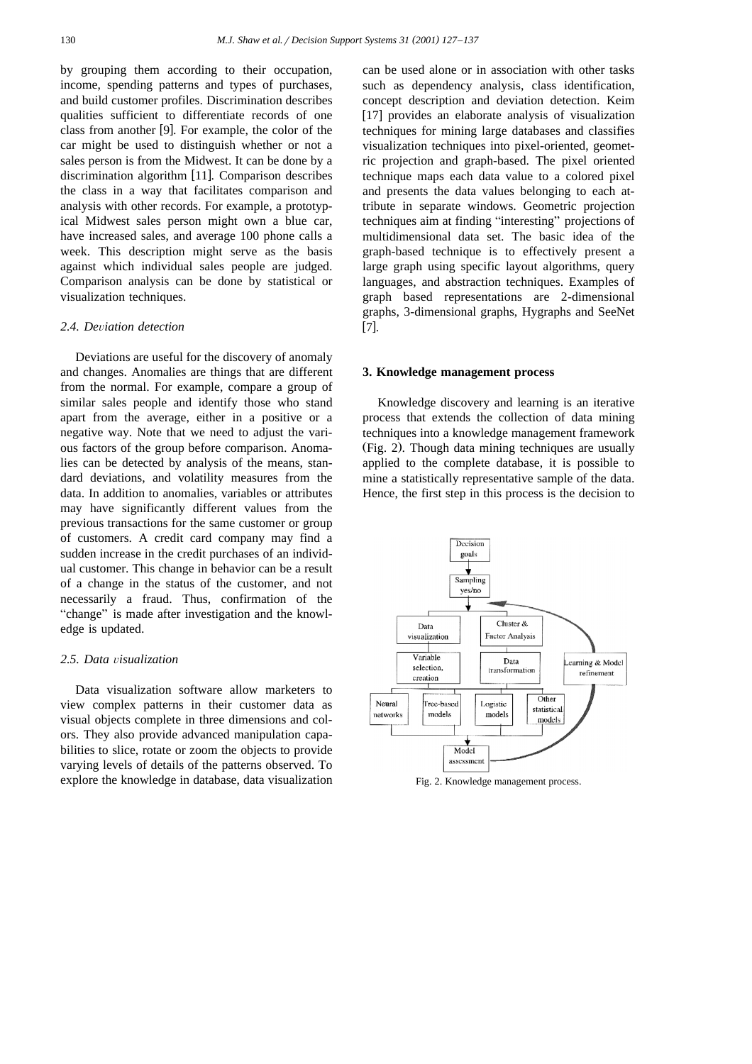by grouping them according to their occupation, income, spending patterns and types of purchases, and build customer profiles. Discrimination describes qualities sufficient to differentiate records of one class from another  $[9]$ . For example, the color of the car might be used to distinguish whether or not a sales person is from the Midwest. It can be done by a discrimination algorithm [11]. Comparison describes the class in a way that facilitates comparison and analysis with other records. For example, a prototypical Midwest sales person might own a blue car, have increased sales, and average 100 phone calls a week. This description might serve as the basis against which individual sales people are judged. Comparison analysis can be done by statistical or visualization techniques.

## 2.4. Deviation detection

Deviations are useful for the discovery of anomaly and changes. Anomalies are things that are different from the normal. For example, compare a group of similar sales people and identify those who stand apart from the average, either in a positive or a negative way. Note that we need to adjust the various factors of the group before comparison. Anomalies can be detected by analysis of the means, standard deviations, and volatility measures from the data. In addition to anomalies, variables or attributes may have significantly different values from the previous transactions for the same customer or group of customers. A credit card company may find a sudden increase in the credit purchases of an individual customer. This change in behavior can be a result of a change in the status of the customer, and not necessarily a fraud. Thus, confirmation of the "change" is made after investigation and the knowledge is updated.

## *2.5. Data* Õ*isualization*

Data visualization software allow marketers to view complex patterns in their customer data as visual objects complete in three dimensions and colors. They also provide advanced manipulation capabilities to slice, rotate or zoom the objects to provide varying levels of details of the patterns observed. To explore the knowledge in database, data visualization

can be used alone or in association with other tasks such as dependency analysis, class identification, concept description and deviation detection. Keim [17] provides an elaborate analysis of visualization techniques for mining large databases and classifies visualization techniques into pixel-oriented, geometric projection and graph-based. The pixel oriented technique maps each data value to a colored pixel and presents the data values belonging to each attribute in separate windows. Geometric projection techniques aim at finding "interesting" projections of multidimensional data set. The basic idea of the graph-based technique is to effectively present a large graph using specific layout algorithms, query languages, and abstraction techniques. Examples of graph based representations are 2-dimensional graphs, 3-dimensional graphs, Hygraphs and SeeNet س<br>[7].

## **3. Knowledge management process**

Knowledge discovery and learning is an iterative process that extends the collection of data mining techniques into a knowledge management framework (Fig. 2). Though data mining techniques are usually applied to the complete database, it is possible to mine a statistically representative sample of the data. Hence, the first step in this process is the decision to



Fig. 2. Knowledge management process.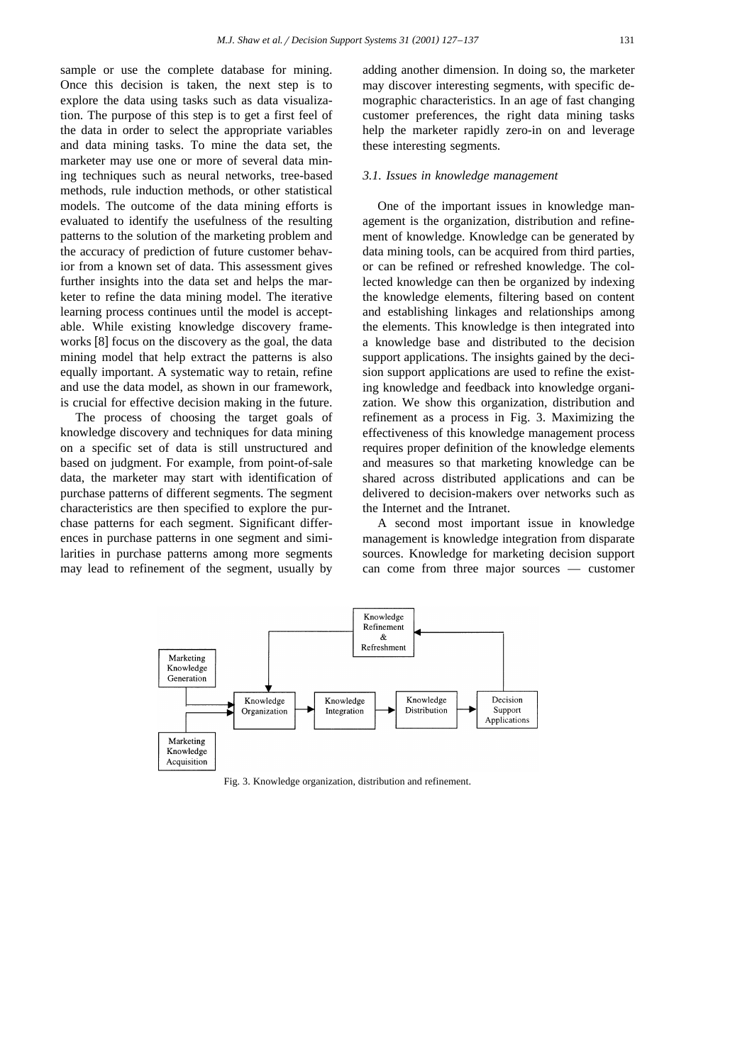sample or use the complete database for mining. Once this decision is taken, the next step is to explore the data using tasks such as data visualization. The purpose of this step is to get a first feel of the data in order to select the appropriate variables and data mining tasks. To mine the data set, the marketer may use one or more of several data mining techniques such as neural networks, tree-based methods, rule induction methods, or other statistical models. The outcome of the data mining efforts is evaluated to identify the usefulness of the resulting patterns to the solution of the marketing problem and the accuracy of prediction of future customer behavior from a known set of data. This assessment gives further insights into the data set and helps the marketer to refine the data mining model. The iterative learning process continues until the model is acceptable. While existing knowledge discovery frameworks  $[8]$  focus on the discovery as the goal, the data mining model that help extract the patterns is also equally important. A systematic way to retain, refine and use the data model, as shown in our framework, is crucial for effective decision making in the future.

The process of choosing the target goals of knowledge discovery and techniques for data mining on a specific set of data is still unstructured and based on judgment. For example, from point-of-sale data, the marketer may start with identification of purchase patterns of different segments. The segment characteristics are then specified to explore the purchase patterns for each segment. Significant differences in purchase patterns in one segment and similarities in purchase patterns among more segments may lead to refinement of the segment, usually by adding another dimension. In doing so, the marketer may discover interesting segments, with specific demographic characteristics. In an age of fast changing customer preferences, the right data mining tasks help the marketer rapidly zero-in on and leverage these interesting segments.

# *3.1. Issues in knowledge management*

One of the important issues in knowledge management is the organization, distribution and refinement of knowledge. Knowledge can be generated by data mining tools, can be acquired from third parties, or can be refined or refreshed knowledge. The collected knowledge can then be organized by indexing the knowledge elements, filtering based on content and establishing linkages and relationships among the elements. This knowledge is then integrated into a knowledge base and distributed to the decision support applications. The insights gained by the decision support applications are used to refine the existing knowledge and feedback into knowledge organization. We show this organization, distribution and refinement as a process in Fig. 3. Maximizing the effectiveness of this knowledge management process requires proper definition of the knowledge elements and measures so that marketing knowledge can be shared across distributed applications and can be delivered to decision-makers over networks such as the Internet and the Intranet.

A second most important issue in knowledge management is knowledge integration from disparate sources. Knowledge for marketing decision support can come from three major sources — customer



Fig. 3. Knowledge organization, distribution and refinement.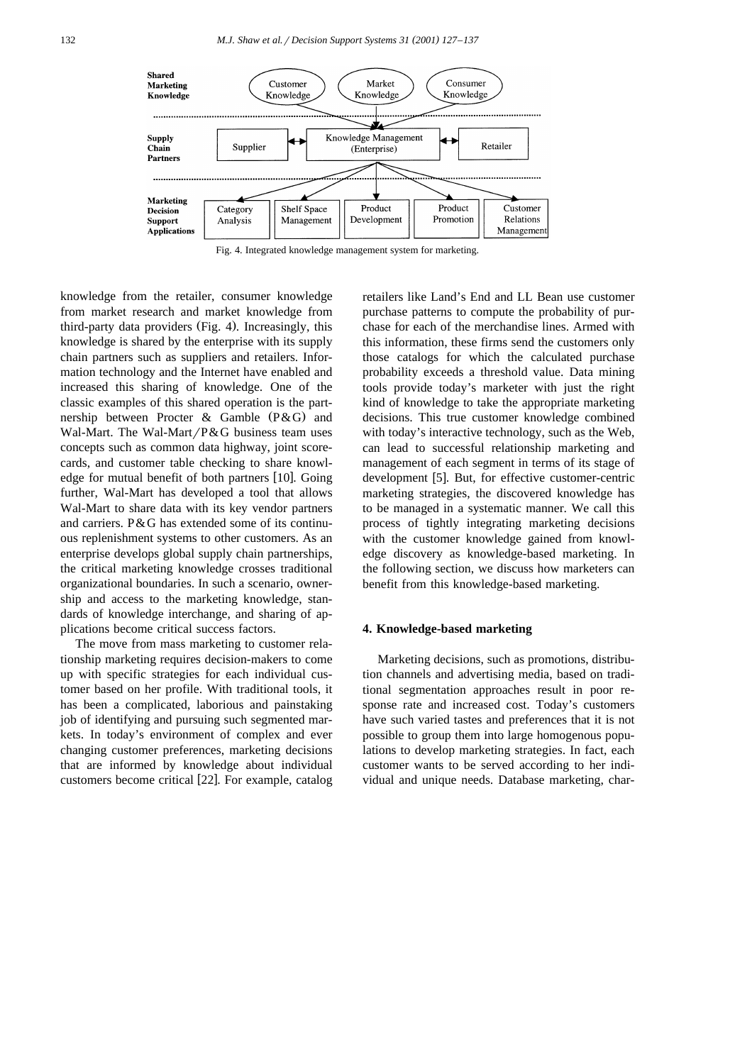

Fig. 4. Integrated knowledge management system for marketing.

knowledge from the retailer, consumer knowledge from market research and market knowledge from third-party data providers (Fig. 4). Increasingly, this knowledge is shared by the enterprise with its supply chain partners such as suppliers and retailers. Information technology and the Internet have enabled and increased this sharing of knowledge. One of the classic examples of this shared operation is the partnership between Procter & Gamble  $(P \& G)$  and Wal-Mart. The Wal-Mart/P&G business team uses concepts such as common data highway, joint scorecards, and customer table checking to share knowledge for mutual benefit of both partners  $[10]$ . Going further, Wal-Mart has developed a tool that allows Wal-Mart to share data with its key vendor partners and carriers. P&G has extended some of its continuous replenishment systems to other customers. As an enterprise develops global supply chain partnerships, the critical marketing knowledge crosses traditional organizational boundaries. In such a scenario, ownership and access to the marketing knowledge, standards of knowledge interchange, and sharing of applications become critical success factors.

The move from mass marketing to customer relationship marketing requires decision-makers to come up with specific strategies for each individual customer based on her profile. With traditional tools, it has been a complicated, laborious and painstaking job of identifying and pursuing such segmented markets. In today's environment of complex and ever changing customer preferences, marketing decisions that are informed by knowledge about individual customers become critical [22]. For example, catalog retailers like Land's End and LL Bean use customer purchase patterns to compute the probability of purchase for each of the merchandise lines. Armed with this information, these firms send the customers only those catalogs for which the calculated purchase probability exceeds a threshold value. Data mining tools provide today's marketer with just the right kind of knowledge to take the appropriate marketing decisions. This true customer knowledge combined with today's interactive technology, such as the Web, can lead to successful relationship marketing and management of each segment in terms of its stage of development [5]. But, for effective customer-centric marketing strategies, the discovered knowledge has to be managed in a systematic manner. We call this process of tightly integrating marketing decisions with the customer knowledge gained from knowledge discovery as knowledge-based marketing. In the following section, we discuss how marketers can benefit from this knowledge-based marketing.

#### **4. Knowledge-based marketing**

Marketing decisions, such as promotions, distribution channels and advertising media, based on traditional segmentation approaches result in poor response rate and increased cost. Today's customers have such varied tastes and preferences that it is not possible to group them into large homogenous populations to develop marketing strategies. In fact, each customer wants to be served according to her individual and unique needs. Database marketing, char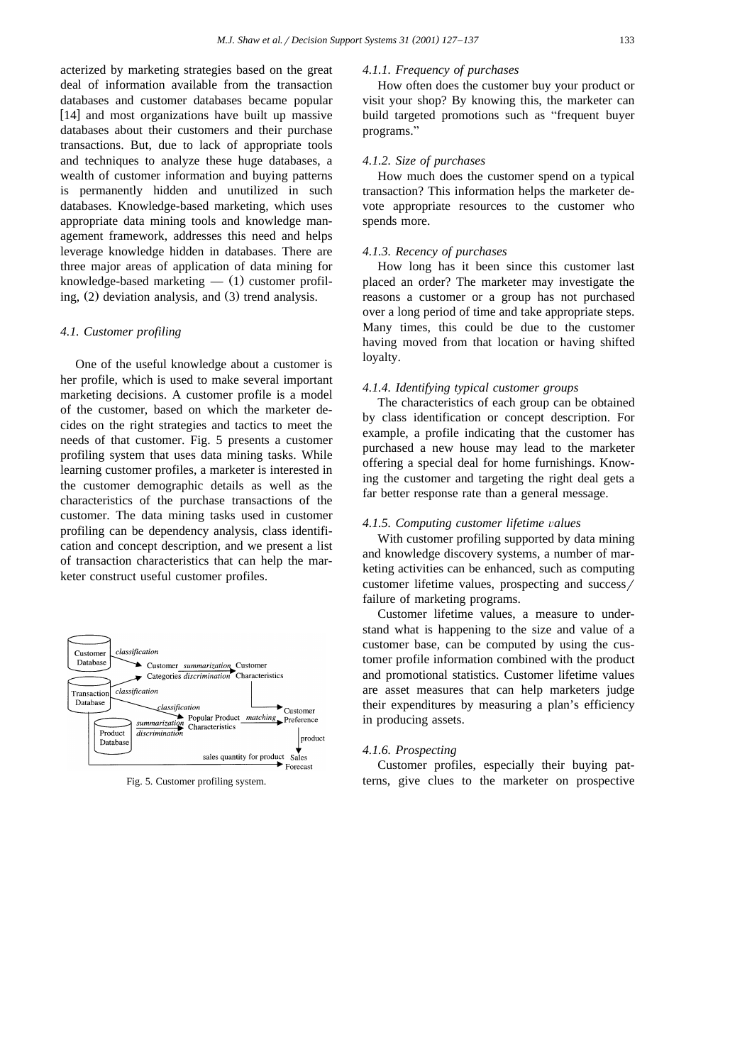acterized by marketing strategies based on the great deal of information available from the transaction databases and customer databases became popular  $[14]$  and most organizations have built up massive databases about their customers and their purchase transactions. But, due to lack of appropriate tools and techniques to analyze these huge databases, a wealth of customer information and buying patterns is permanently hidden and unutilized in such databases. Knowledge-based marketing, which uses appropriate data mining tools and knowledge management framework, addresses this need and helps leverage knowledge hidden in databases. There are three major areas of application of data mining for knowledge-based marketing  $-$  (1) customer profiling, (2) deviation analysis, and (3) trend analysis.

#### *4.1. Customer profiling*

One of the useful knowledge about a customer is her profile, which is used to make several important marketing decisions. A customer profile is a model of the customer, based on which the marketer decides on the right strategies and tactics to meet the needs of that customer. Fig. 5 presents a customer profiling system that uses data mining tasks. While learning customer profiles, a marketer is interested in the customer demographic details as well as the characteristics of the purchase transactions of the customer. The data mining tasks used in customer profiling can be dependency analysis, class identification and concept description, and we present a list of transaction characteristics that can help the marketer construct useful customer profiles.



Fig. 5. Customer profiling system.

#### *4.1.1. Frequency of purchases*

How often does the customer buy your product or visit your shop? By knowing this, the marketer can build targeted promotions such as "frequent buyer programs."

## *4.1.2. Size of purchases*

How much does the customer spend on a typical transaction? This information helps the marketer devote appropriate resources to the customer who spends more.

#### *4.1.3. Recency of purchases*

How long has it been since this customer last placed an order? The marketer may investigate the reasons a customer or a group has not purchased over a long period of time and take appropriate steps. Many times, this could be due to the customer having moved from that location or having shifted loyalty.

# *4.1.4. Identifying typical customer groups*

The characteristics of each group can be obtained by class identification or concept description. For example, a profile indicating that the customer has purchased a new house may lead to the marketer offering a special deal for home furnishings. Knowing the customer and targeting the right deal gets a far better response rate than a general message.

#### *4.1.5. Computing customer lifetime* Õ*alues*

With customer profiling supported by data mining and knowledge discovery systems, a number of marketing activities can be enhanced, such as computing customer lifetime values, prospecting and success/ failure of marketing programs.

Customer lifetime values, a measure to understand what is happening to the size and value of a customer base, can be computed by using the customer profile information combined with the product and promotional statistics. Customer lifetime values are asset measures that can help marketers judge their expenditures by measuring a plan's efficiency in producing assets.

#### *4.1.6. Prospecting*

Customer profiles, especially their buying patterns, give clues to the marketer on prospective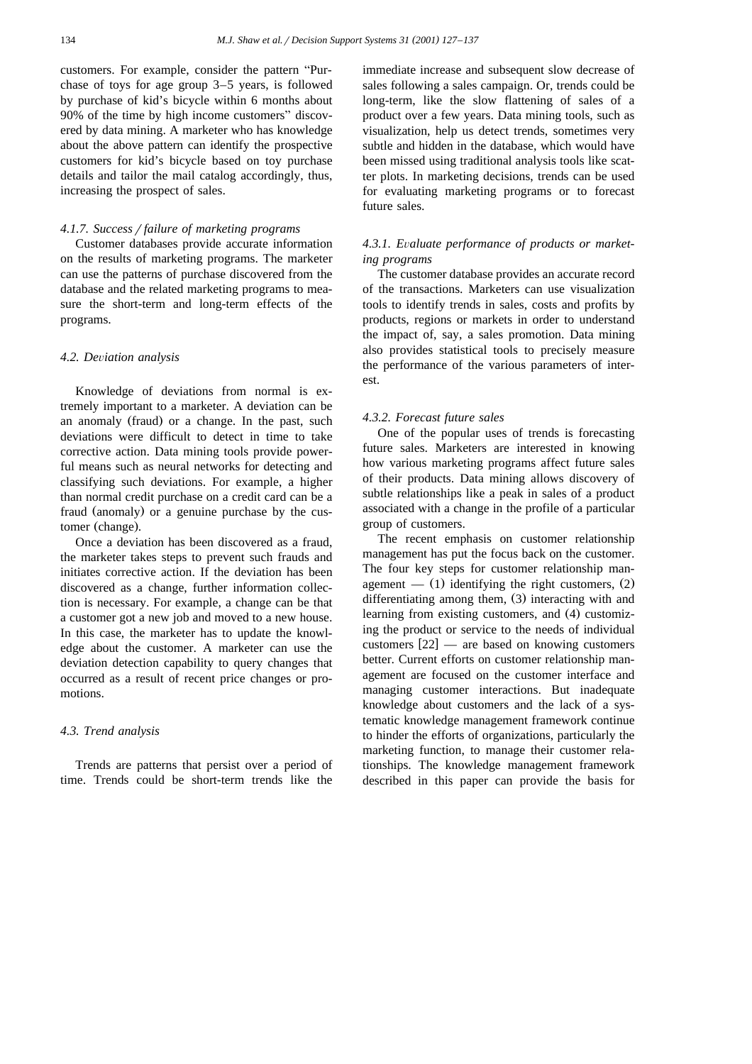customers. For example, consider the pattern "Purchase of toys for age group 3–5 years, is followed by purchase of kid's bicycle within 6 months about  $90\%$  of the time by high income customers" discovered by data mining. A marketer who has knowledge about the above pattern can identify the prospective customers for kid's bicycle based on toy purchase details and tailor the mail catalog accordingly, thus, increasing the prospect of sales.

## 4.1.7. Success / failure of marketing programs

Customer databases provide accurate information on the results of marketing programs. The marketer can use the patterns of purchase discovered from the database and the related marketing programs to measure the short-term and long-term effects of the programs.

### *4.2. De*Õ*iation analysis*

Knowledge of deviations from normal is extremely important to a marketer. A deviation can be an anomaly (fraud) or a change. In the past, such deviations were difficult to detect in time to take corrective action. Data mining tools provide powerful means such as neural networks for detecting and classifying such deviations. For example, a higher than normal credit purchase on a credit card can be a fraud (anomaly) or a genuine purchase by the customer (change).

Once a deviation has been discovered as a fraud, the marketer takes steps to prevent such frauds and initiates corrective action. If the deviation has been discovered as a change, further information collection is necessary. For example, a change can be that a customer got a new job and moved to a new house. In this case, the marketer has to update the knowledge about the customer. A marketer can use the deviation detection capability to query changes that occurred as a result of recent price changes or promotions.

## *4.3. Trend analysis*

Trends are patterns that persist over a period of time. Trends could be short-term trends like the immediate increase and subsequent slow decrease of sales following a sales campaign. Or, trends could be long-term, like the slow flattening of sales of a product over a few years. Data mining tools, such as visualization, help us detect trends, sometimes very subtle and hidden in the database, which would have been missed using traditional analysis tools like scatter plots. In marketing decisions, trends can be used for evaluating marketing programs or to forecast future sales.

# 4.3.1. Evaluate performance of products or market*ing programs*

The customer database provides an accurate record of the transactions. Marketers can use visualization tools to identify trends in sales, costs and profits by products, regions or markets in order to understand the impact of, say, a sales promotion. Data mining also provides statistical tools to precisely measure the performance of the various parameters of interest.

## *4.3.2. Forecast future sales*

One of the popular uses of trends is forecasting future sales. Marketers are interested in knowing how various marketing programs affect future sales of their products. Data mining allows discovery of subtle relationships like a peak in sales of a product associated with a change in the profile of a particular group of customers.

The recent emphasis on customer relationship management has put the focus back on the customer. The four key steps for customer relationship management  $-$  (1) identifying the right customers, (2) differentiating among them,  $(3)$  interacting with and learning from existing customers, and (4) customizing the product or service to the needs of individual customers  $[22]$  — are based on knowing customers better. Current efforts on customer relationship management are focused on the customer interface and managing customer interactions. But inadequate knowledge about customers and the lack of a systematic knowledge management framework continue to hinder the efforts of organizations, particularly the marketing function, to manage their customer relationships. The knowledge management framework described in this paper can provide the basis for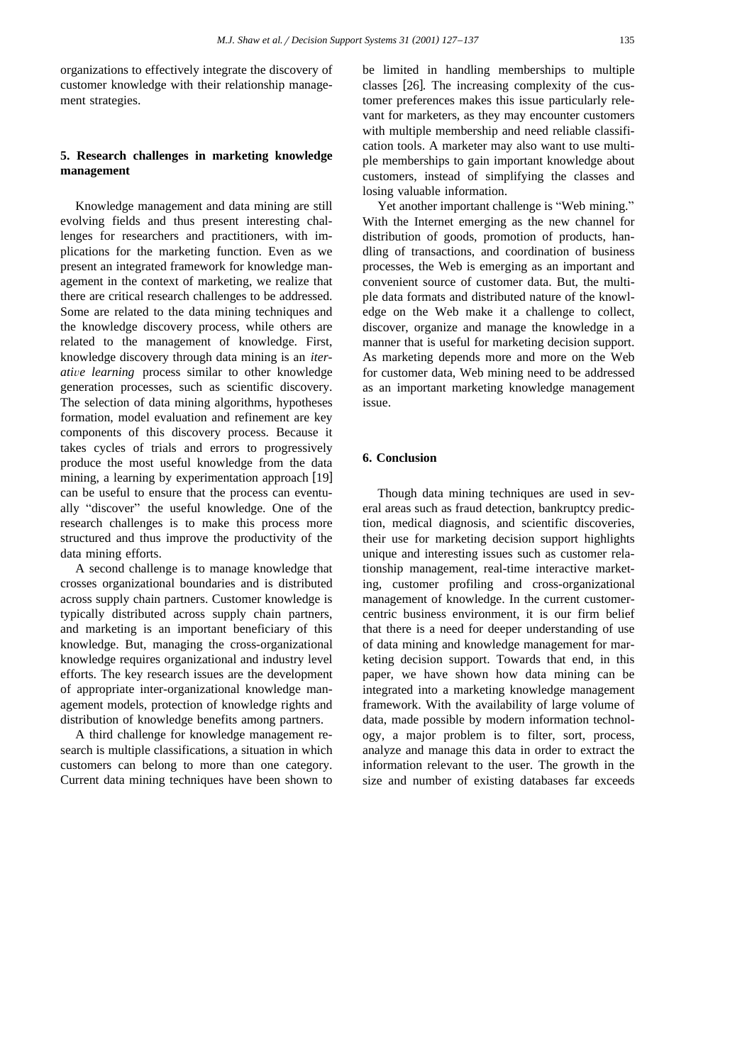organizations to effectively integrate the discovery of customer knowledge with their relationship management strategies.

# **5. Research challenges in marketing knowledge management**

Knowledge management and data mining are still evolving fields and thus present interesting challenges for researchers and practitioners, with implications for the marketing function. Even as we present an integrated framework for knowledge management in the context of marketing, we realize that there are critical research challenges to be addressed. Some are related to the data mining techniques and the knowledge discovery process, while others are related to the management of knowledge. First, knowledge discovery through data mining is an *iterative learning* process similar to other knowledge generation processes, such as scientific discovery. The selection of data mining algorithms, hypotheses formation, model evaluation and refinement are key components of this discovery process. Because it takes cycles of trials and errors to progressively produce the most useful knowledge from the data mining, a learning by experimentation approach [19] can be useful to ensure that the process can eventually "discover" the useful knowledge. One of the research challenges is to make this process more structured and thus improve the productivity of the data mining efforts.

A second challenge is to manage knowledge that crosses organizational boundaries and is distributed across supply chain partners. Customer knowledge is typically distributed across supply chain partners, and marketing is an important beneficiary of this knowledge. But, managing the cross-organizational knowledge requires organizational and industry level efforts. The key research issues are the development of appropriate inter-organizational knowledge management models, protection of knowledge rights and distribution of knowledge benefits among partners.

A third challenge for knowledge management research is multiple classifications, a situation in which customers can belong to more than one category. Current data mining techniques have been shown to be limited in handling memberships to multiple classes  $[26]$ . The increasing complexity of the customer preferences makes this issue particularly relevant for marketers, as they may encounter customers with multiple membership and need reliable classification tools. A marketer may also want to use multiple memberships to gain important knowledge about customers, instead of simplifying the classes and losing valuable information.

Yet another important challenge is "Web mining." With the Internet emerging as the new channel for distribution of goods, promotion of products, handling of transactions, and coordination of business processes, the Web is emerging as an important and convenient source of customer data. But, the multiple data formats and distributed nature of the knowledge on the Web make it a challenge to collect, discover, organize and manage the knowledge in a manner that is useful for marketing decision support. As marketing depends more and more on the Web for customer data, Web mining need to be addressed as an important marketing knowledge management issue.

# **6. Conclusion**

Though data mining techniques are used in several areas such as fraud detection, bankruptcy prediction, medical diagnosis, and scientific discoveries, their use for marketing decision support highlights unique and interesting issues such as customer relationship management, real-time interactive marketing, customer profiling and cross-organizational management of knowledge. In the current customercentric business environment, it is our firm belief that there is a need for deeper understanding of use of data mining and knowledge management for marketing decision support. Towards that end, in this paper, we have shown how data mining can be integrated into a marketing knowledge management framework. With the availability of large volume of data, made possible by modern information technology, a major problem is to filter, sort, process, analyze and manage this data in order to extract the information relevant to the user. The growth in the size and number of existing databases far exceeds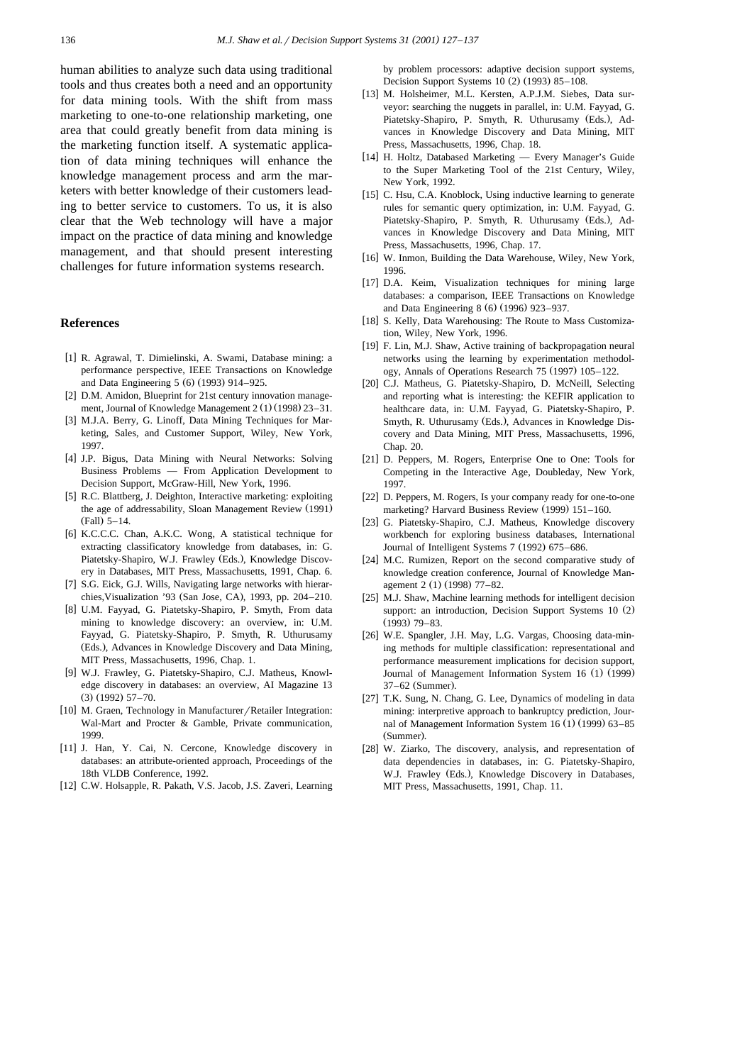human abilities to analyze such data using traditional tools and thus creates both a need and an opportunity for data mining tools. With the shift from mass marketing to one-to-one relationship marketing, one area that could greatly benefit from data mining is the marketing function itself. A systematic application of data mining techniques will enhance the knowledge management process and arm the marketers with better knowledge of their customers leading to better service to customers. To us, it is also clear that the Web technology will have a major impact on the practice of data mining and knowledge management, and that should present interesting challenges for future information systems research.

### **References**

- [1] R. Agrawal, T. Dimielinski, A. Swami, Database mining: a performance perspective, IEEE Transactions on Knowledge and Data Engineering 5 (6) (1993) 914–925.
- [2] D.M. Amidon, Blueprint for 21st century innovation management, Journal of Knowledge Management  $2(1)(1998)$   $23-31$ .
- [3] M.J.A. Berry, G. Linoff, Data Mining Techniques for Marketing, Sales, and Customer Support, Wiley, New York, 1997.
- [4] J.P. Bigus, Data Mining with Neural Networks: Solving Business Problems — From Application Development to Decision Support, McGraw-Hill, New York, 1996.
- [5] R.C. Blattberg, J. Deighton, Interactive marketing: exploiting the age of addressability, Sloan Management Review (1991)  $(Fall) 5–14.$
- [6] K.C.C.C. Chan, A.K.C. Wong, A statistical technique for extracting classificatory knowledge from databases, in: G. Piatetsky-Shapiro, W.J. Frawley (Eds.), Knowledge Discovery in Databases, MIT Press, Massachusetts, 1991, Chap. 6.
- [7] S.G. Eick, G.J. Wills, Navigating large networks with hierarchies, Visualization '93 (San Jose, CA), 1993, pp.  $204-210$ .
- [8] U.M. Fayyad, G. Piatetsky-Shapiro, P. Smyth, From data mining to knowledge discovery: an overview, in: U.M. Fayyad, G. Piatetsky-Shapiro, P. Smyth, R. Uthurusamy (Eds.), Advances in Knowledge Discovery and Data Mining, MIT Press, Massachusetts, 1996, Chap. 1.
- [9] W.J. Frawley, G. Piatetsky-Shapiro, C.J. Matheus, Knowledge discovery in databases: an overview, AI Magazine 13  $(3)$   $(1992)$  57–70.
- [10] M. Graen, Technology in Manufacturer/Retailer Integration: Wal-Mart and Procter & Gamble, Private communication, 1999.
- [11] J. Han, Y. Cai, N. Cercone, Knowledge discovery in databases: an attribute-oriented approach, Proceedings of the 18th VLDB Conference, 1992.
- [12] C.W. Holsapple, R. Pakath, V.S. Jacob, J.S. Zaveri, Learning

by problem processors: adaptive decision support systems, Decision Support Systems  $10(2)(1993)$  85–108.

- [13] M. Holsheimer, M.L. Kersten, A.P.J.M. Siebes, Data surveyor: searching the nuggets in parallel, in: U.M. Fayyad, G. Piatetsky-Shapiro, P. Smyth, R. Uthurusamy (Eds.), Advances in Knowledge Discovery and Data Mining, MIT Press, Massachusetts, 1996, Chap. 18.
- [14] H. Holtz, Databased Marketing Every Manager's Guide to the Super Marketing Tool of the 21st Century, Wiley, New York, 1992.
- [15] C. Hsu, C.A. Knoblock, Using inductive learning to generate rules for semantic query optimization, in: U.M. Fayyad, G. Piatetsky-Shapiro, P. Smyth, R. Uthurusamy (Eds.), Advances in Knowledge Discovery and Data Mining, MIT Press, Massachusetts, 1996, Chap. 17.
- [16] W. Inmon, Building the Data Warehouse, Wiley, New York, 1996.
- [17] D.A. Keim, Visualization techniques for mining large databases: a comparison, IEEE Transactions on Knowledge and Data Engineering 8 (6) (1996) 923–937.
- [18] S. Kelly, Data Warehousing: The Route to Mass Customization, Wiley, New York, 1996.
- [19] F. Lin, M.J. Shaw, Active training of backpropagation neural networks using the learning by experimentation methodology, Annals of Operations Research  $75$  (1997) 105–122.
- [20] C.J. Matheus, G. Piatetsky-Shapiro, D. McNeill, Selecting and reporting what is interesting: the KEFIR application to healthcare data, in: U.M. Fayyad, G. Piatetsky-Shapiro, P. Smyth, R. Uthurusamy (Eds.), Advances in Knowledge Discovery and Data Mining, MIT Press, Massachusetts, 1996, Chap. 20.
- [21] D. Peppers, M. Rogers, Enterprise One to One: Tools for Competing in the Interactive Age, Doubleday, New York, 1997.
- [22] D. Peppers, M. Rogers, Is your company ready for one-to-one marketing? Harvard Business Review (1999) 151-160.
- [23] G. Piatetsky-Shapiro, C.J. Matheus, Knowledge discovery workbench for exploring business databases, International Journal of Intelligent Systems 7 (1992) 675–686.
- [24] M.C. Rumizen, Report on the second comparative study of knowledge creation conference, Journal of Knowledge Management 2 (1) (1998) 77-82.
- [25] M.J. Shaw, Machine learning methods for intelligent decision support: an introduction, Decision Support Systems 10 (2).  $(1993)$  79–83.
- [26] W.E. Spangler, J.H. May, L.G. Vargas, Choosing data-mining methods for multiple classification: representational and performance measurement implications for decision support, Journal of Management Information System 16 (1) (1999)  $37-62$  (Summer).
- [27] T.K. Sung, N. Chang, G. Lee, Dynamics of modeling in data mining: interpretive approach to bankruptcy prediction, Journal of Management Information System 16 (1) (1999) 63-85 (Summer).
- [28] W. Ziarko, The discovery, analysis, and representation of data dependencies in databases, in: G. Piatetsky-Shapiro, W.J. Frawley (Eds.), Knowledge Discovery in Databases, MIT Press, Massachusetts, 1991, Chap. 11.